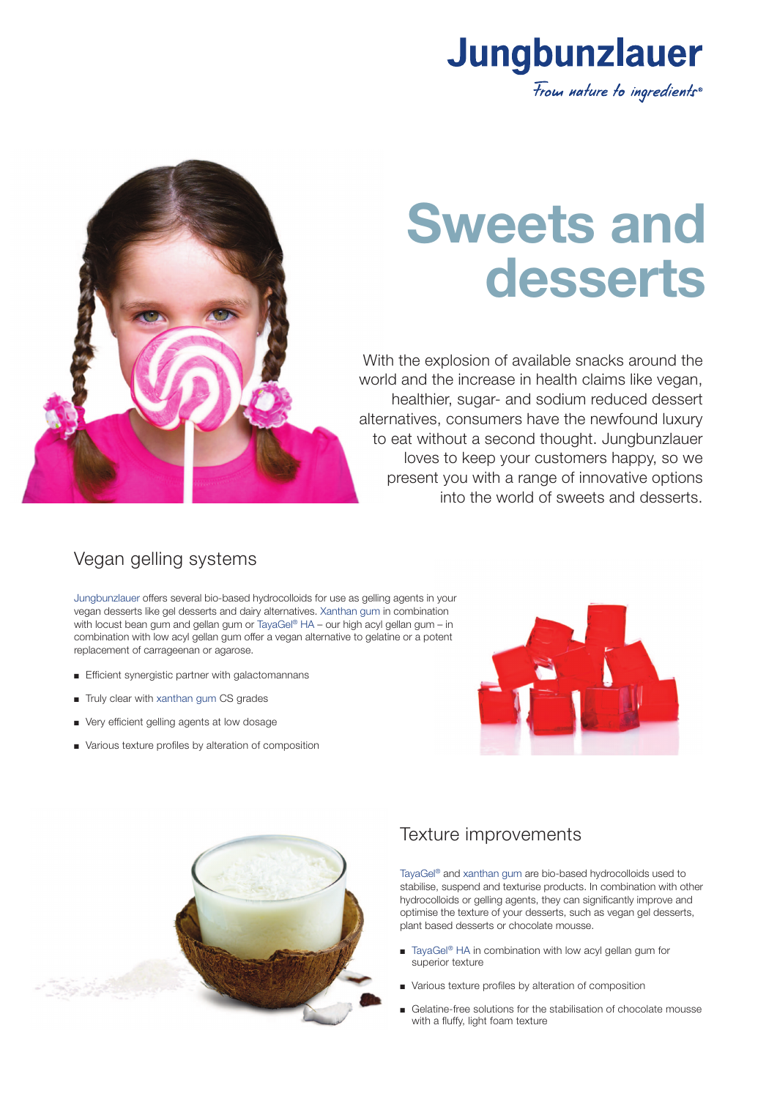

# **Sweets and desserts**

With the explosion of available snacks around the world and the increase in health claims like vegan, healthier, sugar- and sodium reduced dessert alternatives, consumers have the newfound luxury to eat without a second thought. Jungbunzlauer loves to keep your customers happy, so we present you with a range of innovative options into the world of sweets and desserts.



# Vegan gelling systems

Jungbunzlauer offers several bio-based hydrocolloids for use as gelling agents in your vegan desserts like gel desserts and dairy alternatives. Xanthan gum in combination with locust bean gum and gellan gum or TayaGel® HA – our high acyl gellan gum – in combination with low acyl gellan gum offer a vegan alternative to gelatine or a potent replacement of carrageenan or agarose.

- **Efficient synergistic partner with galactomannans**
- $\blacksquare$  Truly clear with xanthan gum CS grades
- Very efficient gelling agents at low dosage
- <sup>n</sup> Various texture profiles by alteration of composition





#### Texture improvements

TayaGel® and xanthan gum are bio-based hydrocolloids used to stabilise, suspend and texturise products. In combination with other hydrocolloids or gelling agents, they can significantly improve and optimise the texture of your desserts, such as vegan gel desserts, plant based desserts or chocolate mousse.

- TayaGel<sup>®</sup> HA in combination with low acyl gellan gum for superior texture
- Various texture profiles by alteration of composition
- <sup>n</sup> Gelatine-free solutions for the stabilisation of chocolate mousse with a fluffy, light foam texture